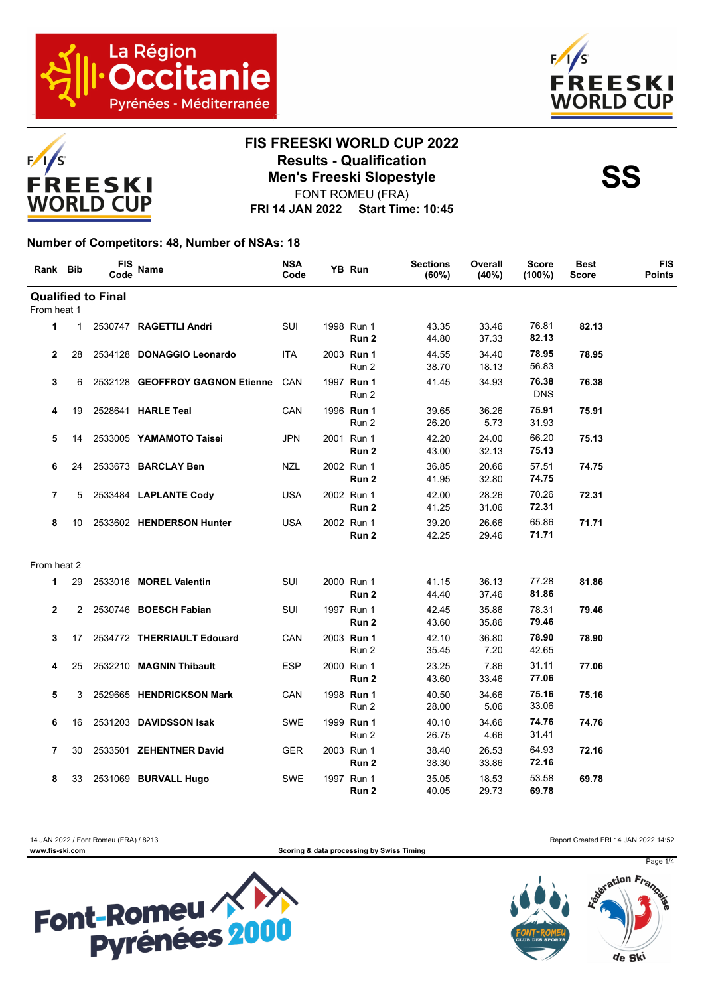



### **FIS FREESKI WORLD CUP 2022 Results - Qualification<br>
Men's Freeski Slopestyle<br>
FONT POMELL(EPA)** FONT ROMEU (FRA)

**FRI 14 JAN 2022 Start Time: 10:45**

#### **Number of Competitors: 48, Number of NSAs: 18**

| Rank Bib       |                | <b>FIS</b><br>Code        | <b>Name</b>                     | <b>NSA</b><br>Code | YB Run                         | <b>Sections</b><br>(60%) | Overall<br>(40%) | <b>Score</b><br>(100%) | <b>Best</b><br><b>Score</b> | <b>FIS</b><br><b>Points</b> |
|----------------|----------------|---------------------------|---------------------------------|--------------------|--------------------------------|--------------------------|------------------|------------------------|-----------------------------|-----------------------------|
|                |                | <b>Qualified to Final</b> |                                 |                    |                                |                          |                  |                        |                             |                             |
| From heat 1    |                |                           |                                 |                    |                                |                          |                  |                        |                             |                             |
| 1              | $\mathbf{1}$   |                           | 2530747 RAGETTLI Andri          | SUI                | 1998 Run 1<br>Run <sub>2</sub> | 43.35<br>44.80           | 33.46<br>37.33   | 76.81<br>82.13         | 82.13                       |                             |
| $\mathbf{2}$   | 28             |                           | 2534128 DONAGGIO Leonardo       | ITA                | 2003 Run 1<br>Run 2            | 44.55<br>38.70           | 34.40<br>18.13   | 78.95<br>56.83         | 78.95                       |                             |
| 3              | 6              |                           | 2532128 GEOFFROY GAGNON Etienne | CAN                | 1997 Run 1<br>Run 2            | 41.45                    | 34.93            | 76.38<br><b>DNS</b>    | 76.38                       |                             |
| 4              | 19             |                           | 2528641 HARLE Teal              | CAN                | 1996 Run 1<br>Run 2            | 39.65<br>26.20           | 36.26<br>5.73    | 75.91<br>31.93         | 75.91                       |                             |
| 5              | 14             |                           | 2533005 YAMAMOTO Taisei         | JPN                | 2001 Run 1<br>Run <sub>2</sub> | 42.20<br>43.00           | 24.00<br>32.13   | 66.20<br>75.13         | 75.13                       |                             |
| 6              | 24             |                           | 2533673 BARCLAY Ben             | NZL                | 2002 Run 1<br>Run 2            | 36.85<br>41.95           | 20.66<br>32.80   | 57.51<br>74.75         | 74.75                       |                             |
| $\overline{7}$ | 5              |                           | 2533484 LAPLANTE Cody           | <b>USA</b>         | 2002 Run 1<br>Run 2            | 42.00<br>41.25           | 28.26<br>31.06   | 70.26<br>72.31         | 72.31                       |                             |
| 8              | 10             |                           | 2533602 HENDERSON Hunter        | <b>USA</b>         | 2002 Run 1<br>Run 2            | 39.20<br>42.25           | 26.66<br>29.46   | 65.86<br>71.71         | 71.71                       |                             |
| From heat 2    |                |                           |                                 |                    |                                |                          |                  |                        |                             |                             |
| 1              | 29             |                           | 2533016 MOREL Valentin          | SUI                | 2000 Run 1<br>Run 2            | 41.15<br>44.40           | 36.13<br>37.46   | 77.28<br>81.86         | 81.86                       |                             |
| $\overline{2}$ | $\overline{2}$ |                           | 2530746 BOESCH Fabian           | SUI                | 1997 Run 1<br>Run 2            | 42.45<br>43.60           | 35.86<br>35.86   | 78.31<br>79.46         | 79.46                       |                             |
| 3              | 17             |                           | 2534772 THERRIAULT Edouard      | CAN                | 2003 Run 1<br>Run 2            | 42.10<br>35.45           | 36.80<br>7.20    | 78.90<br>42.65         | 78.90                       |                             |
| 4              | 25             |                           | 2532210 MAGNIN Thibault         | <b>ESP</b>         | 2000 Run 1<br>Run 2            | 23.25<br>43.60           | 7.86<br>33.46    | 31.11<br>77.06         | 77.06                       |                             |
| 5              | 3              |                           | 2529665 HENDRICKSON Mark        | CAN                | 1998 Run 1<br>Run 2            | 40.50<br>28.00           | 34.66<br>5.06    | 75.16<br>33.06         | 75.16                       |                             |
| 6              | 16             |                           | 2531203 DAVIDSSON Isak          | <b>SWE</b>         | 1999 Run 1<br>Run 2            | 40.10<br>26.75           | 34.66<br>4.66    | 74.76<br>31.41         | 74.76                       |                             |
| $\overline{7}$ | 30             |                           | 2533501 ZEHENTNER David         | GER                | 2003 Run 1<br>Run 2            | 38.40<br>38.30           | 26.53<br>33.86   | 64.93<br>72.16         | 72.16                       |                             |
| 8              | 33             |                           | 2531069 BURVALL Hugo            | <b>SWE</b>         | 1997 Run 1<br>Run 2            | 35.05<br>40.05           | 18.53<br>29.73   | 53.58<br>69.78         | 69.78                       |                             |

**www.fis-ski.com Scoring & data processing by Swiss Timing**

14 JAN 2022 / Font Romeu (FRA) / 8213 Report Created FRI 14 JAN 2022 14:52





Page 1/4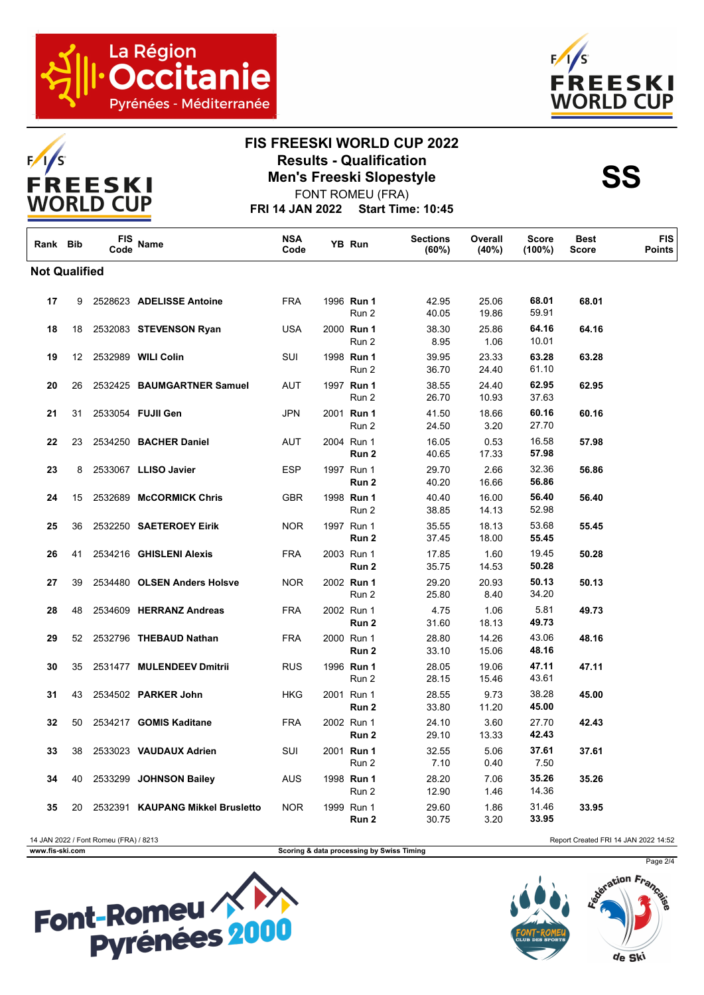





# **FIS FREESKI WORLD CUP 2022 Results - Qualification<br>
Men's Freeski Slopestyle<br>
FONT POMELL(EPA)**

**FRI 14 JAN 2022 Start Time: 10:45** FONT ROMEU (FRA)

| Rank Bib             |    | <b>FIS</b><br>Code                    | Name                             | <b>NSA</b><br>Code | YB Run                                    | <b>Sections</b><br>(60%) | Overall<br>(40%) | <b>Score</b><br>$(100\%)$ | <b>Best</b><br><b>Score</b>          | <b>FIS</b><br><b>Points</b> |
|----------------------|----|---------------------------------------|----------------------------------|--------------------|-------------------------------------------|--------------------------|------------------|---------------------------|--------------------------------------|-----------------------------|
| <b>Not Qualified</b> |    |                                       |                                  |                    |                                           |                          |                  |                           |                                      |                             |
| 17                   | 9  |                                       | 2528623 ADELISSE Antoine         | <b>FRA</b>         | 1996 Run 1<br>Run 2                       | 42.95<br>40.05           | 25.06<br>19.86   | 68.01<br>59.91            | 68.01                                |                             |
| 18                   | 18 |                                       | 2532083 STEVENSON Ryan           | <b>USA</b>         | 2000 Run 1<br>Run 2                       | 38.30<br>8.95            | 25.86<br>1.06    | 64.16<br>10.01            | 64.16                                |                             |
| 19                   | 12 |                                       | 2532989 WILI Colin               | SUI                | 1998 Run 1<br>Run 2                       | 39.95<br>36.70           | 23.33<br>24.40   | 63.28<br>61.10            | 63.28                                |                             |
| 20                   | 26 |                                       | 2532425 BAUMGARTNER Samuel       | <b>AUT</b>         | 1997 Run 1<br>Run 2                       | 38.55<br>26.70           | 24.40<br>10.93   | 62.95<br>37.63            | 62.95                                |                             |
| 21                   | 31 |                                       | 2533054 FUJII Gen                | <b>JPN</b>         | 2001 Run 1<br>Run 2                       | 41.50<br>24.50           | 18.66<br>3.20    | 60.16<br>27.70            | 60.16                                |                             |
| 22                   | 23 |                                       | 2534250 BACHER Daniel            | AUT                | 2004 Run 1<br>Run 2                       | 16.05<br>40.65           | 0.53<br>17.33    | 16.58<br>57.98            | 57.98                                |                             |
| 23                   | 8  |                                       | 2533067 LLISO Javier             | ESP                | 1997 Run 1<br>Run 2                       | 29.70<br>40.20           | 2.66<br>16.66    | 32.36<br>56.86            | 56.86                                |                             |
| 24                   | 15 |                                       | 2532689 McCORMICK Chris          | GBR                | 1998 Run 1<br>Run 2                       | 40.40<br>38.85           | 16.00<br>14.13   | 56.40<br>52.98            | 56.40                                |                             |
| 25                   | 36 |                                       | 2532250 SAETEROEY Eirik          | <b>NOR</b>         | 1997 Run 1<br>Run 2                       | 35.55<br>37.45           | 18.13<br>18.00   | 53.68<br>55.45            | 55.45                                |                             |
| 26                   | 41 |                                       | 2534216 GHISLENI Alexis          | <b>FRA</b>         | 2003 Run 1<br>Run 2                       | 17.85<br>35.75           | 1.60<br>14.53    | 19.45<br>50.28            | 50.28                                |                             |
| 27                   | 39 |                                       | 2534480 OLSEN Anders Holsve      | <b>NOR</b>         | 2002 Run 1<br>Run 2                       | 29.20<br>25.80           | 20.93<br>8.40    | 50.13<br>34.20            | 50.13                                |                             |
| 28                   | 48 |                                       | 2534609 HERRANZ Andreas          | <b>FRA</b>         | 2002 Run 1<br>Run 2                       | 4.75<br>31.60            | 1.06<br>18.13    | 5.81<br>49.73             | 49.73                                |                             |
| 29                   | 52 |                                       | 2532796 THEBAUD Nathan           | <b>FRA</b>         | 2000 Run 1<br>Run 2                       | 28.80<br>33.10           | 14.26<br>15.06   | 43.06<br>48.16            | 48.16                                |                             |
| 30                   | 35 |                                       | 2531477 MULENDEEV Dmitrii        | <b>RUS</b>         | 1996 Run 1<br>Run 2                       | 28.05<br>28.15           | 19.06<br>15.46   | 47.11<br>43.61            | 47.11                                |                             |
| 31                   | 43 |                                       | 2534502 PARKER John              | HKG                | 2001 Run 1<br>Run 2                       | 28.55<br>33.80           | 9.73<br>11.20    | 38.28<br>45.00            | 45.00                                |                             |
| 32                   | 50 |                                       | 2534217 GOMIS Kaditane           | <b>FRA</b>         | 2002 Run 1<br>Run 2                       | 24.10<br>29.10           | 3.60<br>13.33    | 27.70<br>42.43            | 42.43                                |                             |
| 33                   | 38 |                                       | 2533023 VAUDAUX Adrien           | SUI                | 2001 Run 1<br>Run 2                       | 32.55<br>7.10            | 5.06<br>0.40     | 37.61<br>7.50             | 37.61                                |                             |
| 34                   | 40 |                                       | 2533299 JOHNSON Bailey           | AUS                | 1998 Run 1<br>Run 2                       | 28.20<br>12.90           | 7.06<br>1.46     | 35.26<br>14.36            | 35.26                                |                             |
| 35                   | 20 |                                       | 2532391 KAUPANG Mikkel Brusletto | <b>NOR</b>         | 1999 Run 1<br>Run 2                       | 29.60<br>30.75           | 1.86<br>3.20     | 31.46<br>33.95            | 33.95                                |                             |
| www.fis-ski.com      |    | 14 JAN 2022 / Font Romeu (FRA) / 8213 |                                  |                    | Scoring & data processing by Swiss Timing |                          |                  |                           | Report Created FRI 14 JAN 2022 14:52 |                             |

**Scoring & data processing by Swiss Timing** 

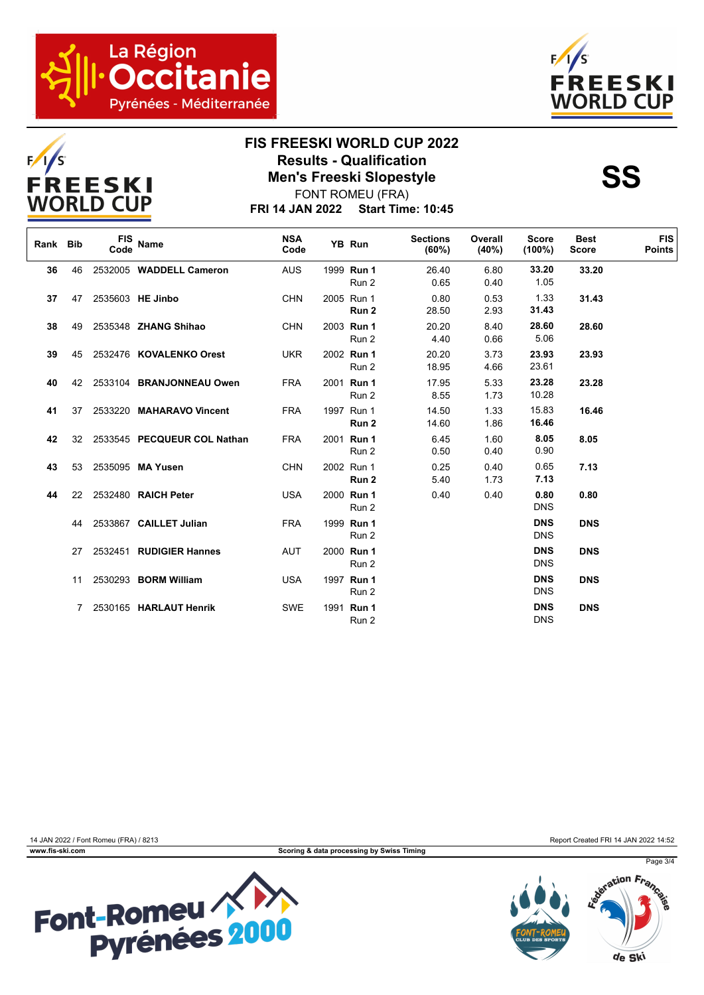



## **FIS FREESKI WORLD CUP 2022 Results - Qualification<br>
Men's Freeski Slopestyle<br>
FONT POMELL(EPA)** FONT ROMEU (FRA)

**FRI 14 JAN 2022 Start Time: 10:45**

| Rank Bib |     | <b>FIS</b><br>Code | Name                        | <b>NSA</b><br>Code | YB Run              | <b>Sections</b><br>$(60\%)$ | Overall<br>(40%) | <b>Score</b><br>$(100\%)$ | <b>Best</b><br><b>Score</b> | <b>FIS</b><br><b>Points</b> |
|----------|-----|--------------------|-----------------------------|--------------------|---------------------|-----------------------------|------------------|---------------------------|-----------------------------|-----------------------------|
| 36       | 46  |                    | 2532005 WADDELL Cameron     | <b>AUS</b>         | 1999 Run 1<br>Run 2 | 26.40<br>0.65               | 6.80<br>0.40     | 33.20<br>1.05             | 33.20                       |                             |
| 37       | 47  |                    | 2535603 HE Jinbo            | <b>CHN</b>         | 2005 Run 1<br>Run 2 | 0.80<br>28.50               | 0.53<br>2.93     | 1.33<br>31.43             | 31.43                       |                             |
| 38       | 49  |                    | 2535348 <b>ZHANG Shihao</b> | <b>CHN</b>         | 2003 Run 1<br>Run 2 | 20.20<br>4.40               | 8.40<br>0.66     | 28.60<br>5.06             | 28.60                       |                             |
| 39       | 45  |                    | 2532476 KOVALENKO Orest     | <b>UKR</b>         | 2002 Run 1<br>Run 2 | 20.20<br>18.95              | 3.73<br>4.66     | 23.93<br>23.61            | 23.93                       |                             |
| 40       | 42  |                    | 2533104 BRANJONNEAU Owen    | <b>FRA</b>         | 2001 Run 1<br>Run 2 | 17.95<br>8.55               | 5.33<br>1.73     | 23.28<br>10.28            | 23.28                       |                             |
| 41       | 37  |                    | 2533220 MAHARAVO Vincent    | <b>FRA</b>         | 1997 Run 1<br>Run 2 | 14.50<br>14.60              | 1.33<br>1.86     | 15.83<br>16.46            | 16.46                       |                             |
| 42       | 32  |                    | 2533545 PECQUEUR COL Nathan | <b>FRA</b>         | 2001 Run 1<br>Run 2 | 6.45<br>0.50                | 1.60<br>0.40     | 8.05<br>0.90              | 8.05                        |                             |
| 43       | 53  |                    | 2535095 MA Yusen            | <b>CHN</b>         | 2002 Run 1<br>Run 2 | 0.25<br>5.40                | 0.40<br>1.73     | 0.65<br>7.13              | 7.13                        |                             |
| 44       | 22  |                    | 2532480 RAICH Peter         | <b>USA</b>         | 2000 Run 1<br>Run 2 | 0.40                        | 0.40             | 0.80<br><b>DNS</b>        | 0.80                        |                             |
|          | 44  |                    | 2533867 CAILLET Julian      | <b>FRA</b>         | 1999 Run 1<br>Run 2 |                             |                  | <b>DNS</b><br><b>DNS</b>  | <b>DNS</b>                  |                             |
|          | 27. |                    | 2532451 RUDIGIER Hannes     | <b>AUT</b>         | 2000 Run 1<br>Run 2 |                             |                  | <b>DNS</b><br><b>DNS</b>  | <b>DNS</b>                  |                             |
|          | 11  |                    | 2530293 BORM William        | <b>USA</b>         | 1997 Run 1<br>Run 2 |                             |                  | <b>DNS</b><br><b>DNS</b>  | <b>DNS</b>                  |                             |
|          | 7   |                    | 2530165 HARLAUT Henrik      | <b>SWE</b>         | 1991 Run 1<br>Run 2 |                             |                  | <b>DNS</b><br><b>DNS</b>  | <b>DNS</b>                  |                             |



14 JAN 2022 / Font Romeu (FRA) / 8213 Report Created FRI 14 JAN 2022 14:52